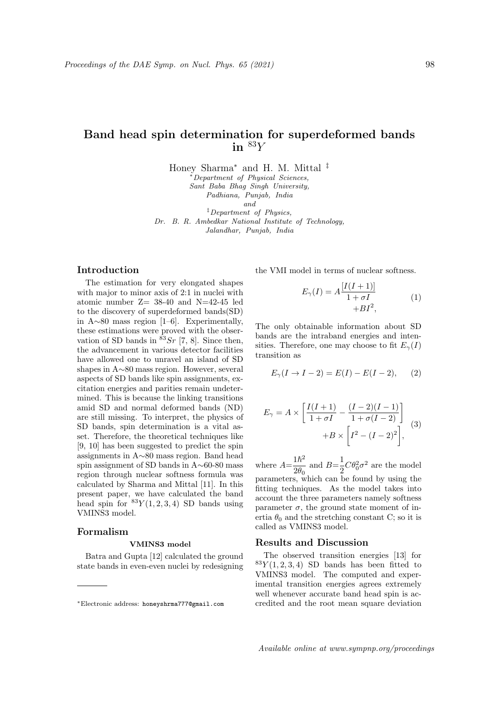# Band head spin determination for superdeformed bands in  $83Y$

Honey Sharma<sup>∗</sup> and H. M. Mittal ‡

Department of Physical Sciences, Sant Baba Bhag Singh University,

Padhiana, Punjab, India

and

‡Department of Physics, Dr. B. R. Ambedkar National Institute of Technology, Jalandhar, Punjab, India

## Introduction

The estimation for very elongated shapes with major to minor axis of 2:1 in nuclei with atomic number  $Z = 38-40$  and  $N=42-45$  led to the discovery of superdeformed bands(SD) in A∼80 mass region [1–6]. Experimentally, these estimations were proved with the observation of SD bands in  ${}^{83}Sr$  [7, 8]. Since then, the advancement in various detector facilities have allowed one to unravel an island of SD shapes in A∼80 mass region. However, several aspects of SD bands like spin assignments, excitation energies and parities remain undetermined. This is because the linking transitions amid SD and normal deformed bands (ND) are still missing. To interpret, the physics of SD bands, spin determination is a vital asset. Therefore, the theoretical techniques like [9, 10] has been suggested to predict the spin assignments in A∼80 mass region. Band head spin assignment of SD bands in A∼60-80 mass region through nuclear softness formula was calculated by Sharma and Mittal [11]. In this present paper, we have calculated the band head spin for  ${}^{83}Y(1,2,3,4)$  SD bands using VMINS3 model.

## Formalism

#### VMINS3 model

Batra and Gupta [12] calculated the ground state bands in even-even nuclei by redesigning the VMI model in terms of nuclear softness.

$$
E_{\gamma}(I) = A \frac{[I(I+1)]}{1 + \sigma I}
$$
  
+
$$
B I^2,
$$
 (1)

The only obtainable information about SD bands are the intraband energies and intensities. Therefore, one may choose to fit  $E_\gamma(I)$ transition as

$$
E_{\gamma}(I \to I - 2) = E(I) - E(I - 2), \qquad (2)
$$

$$
E_{\gamma} = A \times \left[ \frac{I(I+1)}{1 + \sigma I} - \frac{(I-2)(I-1)}{1 + \sigma(I-2)} \right] + B \times \left[ I^2 - (I-2)^2 \right],
$$
 (3)

where  $A=\frac{1\hbar^2}{2a}$  $rac{1\hslash^2}{2\theta_0}$  and  $B=\frac{1}{2}$  $\frac{1}{2}C\theta_0^2\sigma^2$  are the model parameters, which can be found by using the fitting techniques. As the model takes into account the three parameters namely softness parameter  $\sigma$ , the ground state moment of inertia  $\theta_0$  and the stretching constant C; so it is called as VMINS3 model.

## Results and Discussion

The observed transition energies [13] for  ${}^{83}Y(1,2,3,4)$  SD bands has been fitted to VMINS3 model. The computed and experimental transition energies agrees extremely well whenever accurate band head spin is accredited and the root mean square deviation

Available online at www.sympnp.org/proceedings

<sup>∗</sup>Electronic address: honeyshrma777@gmail.com